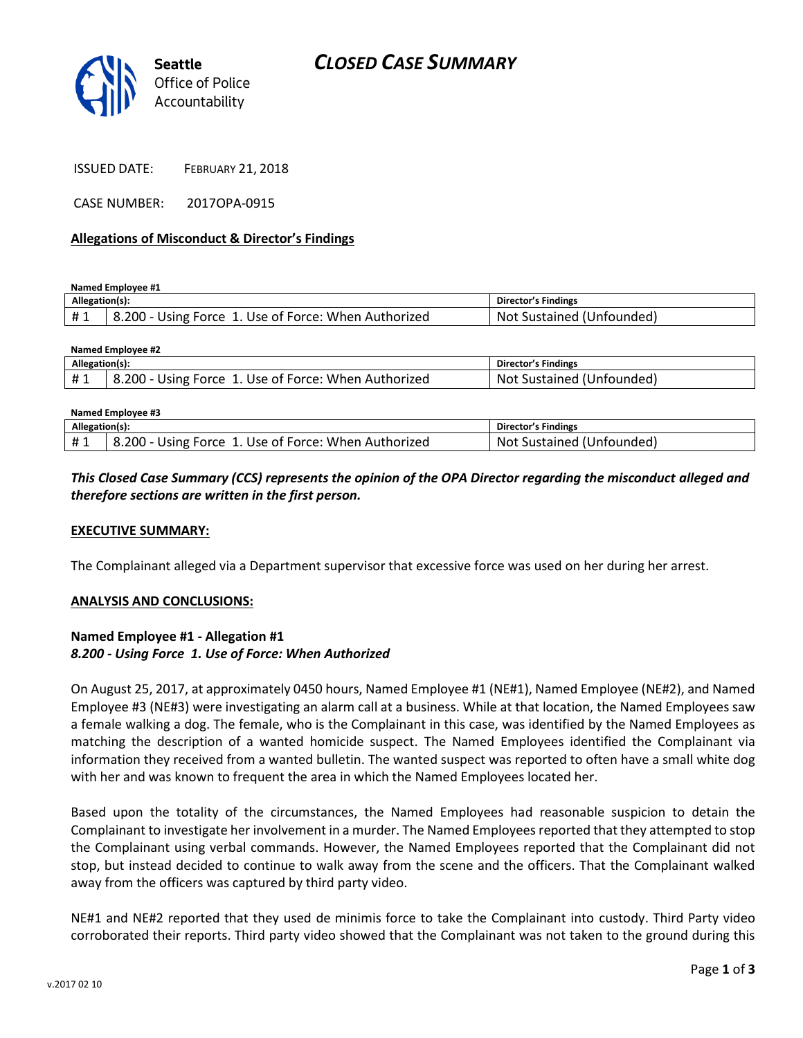

ISSUED DATE: FEBRUARY 21, 2018

CASE NUMBER: 2017OPA-0915

#### **Allegations of Misconduct & Director's Findings**

**Named Employee #1**

| Allegation(s): |                                                      | Director's Findings       |
|----------------|------------------------------------------------------|---------------------------|
|                | 8.200 - Using Force 1. Use of Force: When Authorized | Not Sustained (Unfounded) |

| Named Employee #2 |                                                      |                           |  |  |
|-------------------|------------------------------------------------------|---------------------------|--|--|
| Allegation(s):    |                                                      | Director's Findings       |  |  |
| <b>H</b> 1        | 8.200 - Using Force 1. Use of Force: When Authorized | Not Sustained (Unfounded) |  |  |
|                   |                                                      |                           |  |  |

| Named Employee #3 |                                                      |                           |  |
|-------------------|------------------------------------------------------|---------------------------|--|
| Allegation(s):    |                                                      | Director's Findings       |  |
| #1                | 8.200 - Using Force 1. Use of Force: When Authorized | Not Sustained (Unfounded) |  |

## *This Closed Case Summary (CCS) represents the opinion of the OPA Director regarding the misconduct alleged and therefore sections are written in the first person.*

#### **EXECUTIVE SUMMARY:**

The Complainant alleged via a Department supervisor that excessive force was used on her during her arrest.

#### **ANALYSIS AND CONCLUSIONS:**

### **Named Employee #1 - Allegation #1** *8.200 - Using Force 1. Use of Force: When Authorized*

On August 25, 2017, at approximately 0450 hours, Named Employee #1 (NE#1), Named Employee (NE#2), and Named Employee #3 (NE#3) were investigating an alarm call at a business. While at that location, the Named Employees saw a female walking a dog. The female, who is the Complainant in this case, was identified by the Named Employees as matching the description of a wanted homicide suspect. The Named Employees identified the Complainant via information they received from a wanted bulletin. The wanted suspect was reported to often have a small white dog with her and was known to frequent the area in which the Named Employees located her.

Based upon the totality of the circumstances, the Named Employees had reasonable suspicion to detain the Complainant to investigate her involvement in a murder. The Named Employees reported that they attempted to stop the Complainant using verbal commands. However, the Named Employees reported that the Complainant did not stop, but instead decided to continue to walk away from the scene and the officers. That the Complainant walked away from the officers was captured by third party video.

NE#1 and NE#2 reported that they used de minimis force to take the Complainant into custody. Third Party video corroborated their reports. Third party video showed that the Complainant was not taken to the ground during this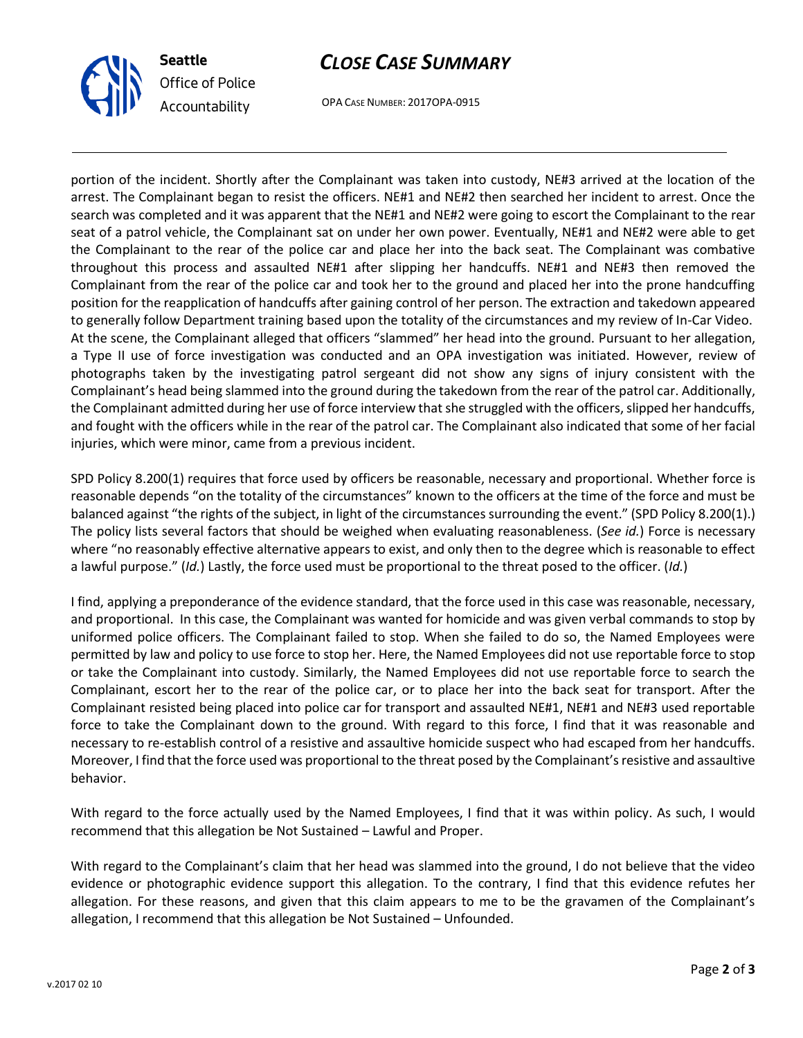



OPA CASE NUMBER: 2017OPA-0915

portion of the incident. Shortly after the Complainant was taken into custody, NE#3 arrived at the location of the arrest. The Complainant began to resist the officers. NE#1 and NE#2 then searched her incident to arrest. Once the search was completed and it was apparent that the NE#1 and NE#2 were going to escort the Complainant to the rear seat of a patrol vehicle, the Complainant sat on under her own power. Eventually, NE#1 and NE#2 were able to get the Complainant to the rear of the police car and place her into the back seat. The Complainant was combative throughout this process and assaulted NE#1 after slipping her handcuffs. NE#1 and NE#3 then removed the Complainant from the rear of the police car and took her to the ground and placed her into the prone handcuffing position for the reapplication of handcuffs after gaining control of her person. The extraction and takedown appeared to generally follow Department training based upon the totality of the circumstances and my review of In-Car Video. At the scene, the Complainant alleged that officers "slammed" her head into the ground. Pursuant to her allegation, a Type II use of force investigation was conducted and an OPA investigation was initiated. However, review of photographs taken by the investigating patrol sergeant did not show any signs of injury consistent with the Complainant's head being slammed into the ground during the takedown from the rear of the patrol car. Additionally, the Complainant admitted during her use of force interview that she struggled with the officers, slipped her handcuffs, and fought with the officers while in the rear of the patrol car. The Complainant also indicated that some of her facial injuries, which were minor, came from a previous incident.

SPD Policy 8.200(1) requires that force used by officers be reasonable, necessary and proportional. Whether force is reasonable depends "on the totality of the circumstances" known to the officers at the time of the force and must be balanced against "the rights of the subject, in light of the circumstances surrounding the event." (SPD Policy 8.200(1).) The policy lists several factors that should be weighed when evaluating reasonableness. (*See id.*) Force is necessary where "no reasonably effective alternative appears to exist, and only then to the degree which is reasonable to effect a lawful purpose." (*Id.*) Lastly, the force used must be proportional to the threat posed to the officer. (*Id.*)

I find, applying a preponderance of the evidence standard, that the force used in this case was reasonable, necessary, and proportional. In this case, the Complainant was wanted for homicide and was given verbal commands to stop by uniformed police officers. The Complainant failed to stop. When she failed to do so, the Named Employees were permitted by law and policy to use force to stop her. Here, the Named Employees did not use reportable force to stop or take the Complainant into custody. Similarly, the Named Employees did not use reportable force to search the Complainant, escort her to the rear of the police car, or to place her into the back seat for transport. After the Complainant resisted being placed into police car for transport and assaulted NE#1, NE#1 and NE#3 used reportable force to take the Complainant down to the ground. With regard to this force, I find that it was reasonable and necessary to re-establish control of a resistive and assaultive homicide suspect who had escaped from her handcuffs. Moreover, I find that the force used was proportional to the threat posed by the Complainant's resistive and assaultive behavior.

With regard to the force actually used by the Named Employees, I find that it was within policy. As such, I would recommend that this allegation be Not Sustained – Lawful and Proper.

With regard to the Complainant's claim that her head was slammed into the ground, I do not believe that the video evidence or photographic evidence support this allegation. To the contrary, I find that this evidence refutes her allegation. For these reasons, and given that this claim appears to me to be the gravamen of the Complainant's allegation, I recommend that this allegation be Not Sustained – Unfounded.